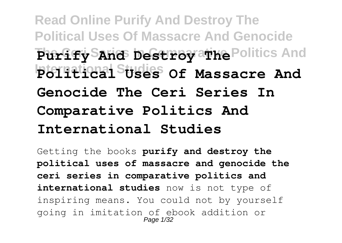**Read Online Purify And Destroy The Political Uses Of Massacre And Genocide** Purify Sand Destroy athe Politics And **International Studies Political Uses Of Massacre And Genocide The Ceri Series In Comparative Politics And International Studies**

Getting the books **purify and destroy the political uses of massacre and genocide the ceri series in comparative politics and international studies** now is not type of inspiring means. You could not by yourself going in imitation of ebook addition or Page 1/32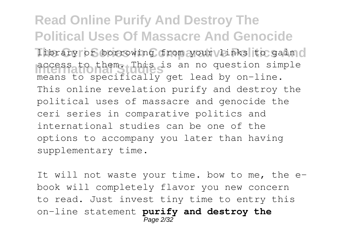**Read Online Purify And Destroy The Political Uses Of Massacre And Genocide** library or borrowing from your links to gain o access to them. This is an no question simple means to specifically get lead by on-line. This online revelation purify and destroy the political uses of massacre and genocide the ceri series in comparative politics and international studies can be one of the options to accompany you later than having supplementary time.

It will not waste your time. bow to me, the ebook will completely flavor you new concern to read. Just invest tiny time to entry this on-line statement **purify and destroy the** Page 2/32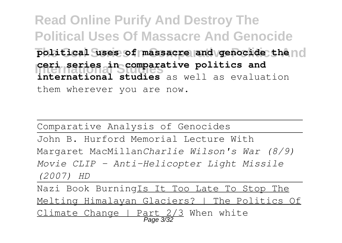**Read Online Purify And Destroy The Political Uses Of Massacre And Genocide** political uses of massacre and genocide the no **International Studies ceri series in comparative politics and international studies** as well as evaluation them wherever you are now.

Comparative Analysis of Genocides

John B. Hurford Memorial Lecture With Margaret MacMillan*Charlie Wilson's War (8/9) Movie CLIP - Anti-Helicopter Light Missile (2007) HD*

Nazi Book BurningIs It Too Late To Stop The Melting Himalayan Glaciers? | The Politics Of Climate Change | Part 2/3 When white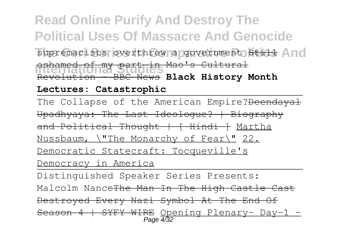### **Read Online Purify And Destroy The Political Uses Of Massacre And Genocide** supremacists overthrew a government Still And **International Studies** Revolution - BBC News **Black History Month** ashamed of my part in Mao's Cultural

#### **Lectures: Catastrophic**

The Collapse of the American Empire?Deendayal Upadhyaya: The Last Ideologue? | Biography and Political Thought | [ Hindi ] Martha Nussbaum, \"The Monarchy of Fear\" 22. Democratic Statecraft: Tocqueville's Democracy in America

Distinguished Speaker Series Presents: Malcolm Nance The Man In The High Castle Cast Destroyed Every Nazi Symbol At The End Of Season 4 | SYFY WIRE Opening Plenary- Day-1 -Page  $4/32$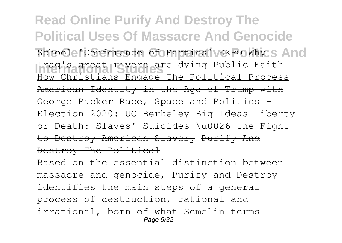**Read Online Purify And Destroy The Political Uses Of Massacre And Genocide** School 'Conference of Parties' EXPO Why S And **International Studies** Iraq's great rivers are dying Public Faith How Christians Engage The Political Process American Identity in the Age of Trump with George Packer Race, Space and Politics -Election 2020: UC Berkeley Big Ideas Liberty or Death: Slaves' Suicides \u0026 the Fight to Destroy American Slavery Purify And Destroy The Political

Based on the essential distinction between massacre and genocide, Purify and Destroy identifies the main steps of a general process of destruction, rational and irrational, born of what Semelin terms Page 5/32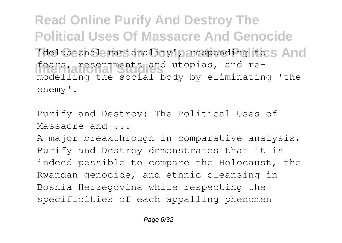**Read Online Purify And Destroy The Political Uses Of Massacre And Genocide** 'delusional rationality', responding to s And fears, resentments and utopias, and remodelling the social body by eliminating 'the enemy'.

### Purify and Destroy: The Political Uses of Massacre and ...

A major breakthrough in comparative analysis, Purify and Destroy demonstrates that it is indeed possible to compare the Holocaust, the Rwandan genocide, and ethnic cleansing in Bosnia-Herzegovina while respecting the specificities of each appalling phenomen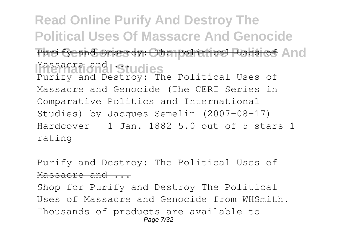**Read Online Purify And Destroy The Political Uses Of Massacre And Genocide** Purify and Destroy: The Political Uses of And Massacre and Studies Purify and Destroy: The Political Uses of Massacre and Genocide (The CERI Series in Comparative Politics and International Studies) by Jacques Semelin (2007-08-17) Hardcover – 1 Jan. 1882 5.0 out of 5 stars 1 rating

#### Purify and Destroy: The Political Uses Massacre and ...

Shop for Purify and Destroy The Political Uses of Massacre and Genocide from WHSmith. Thousands of products are available to Page 7/32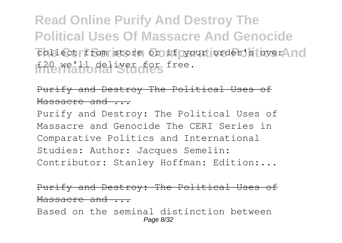**Read Online Purify And Destroy The Political Uses Of Massacre And Genocide** collect from store or if your order's over ind £20 we'll deliver for free.

#### Purify and Destroy The Political Uses of Massacre and ...

Purify and Destroy: The Political Uses of Massacre and Genocide The CERI Series in Comparative Politics and International Studies: Author: Jacques Semelin: Contributor: Stanley Hoffman: Edition:...

#### Purify and Destroy: The Political Uses of Massacre and ...

Based on the seminal distinction between Page 8/32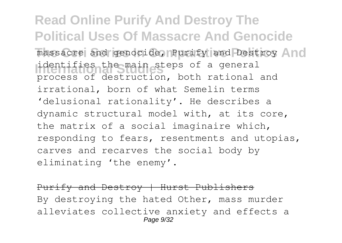**Read Online Purify And Destroy The Political Uses Of Massacre And Genocide** massacre and genocide, Purify and Destroy And identifies the main steps of a general process of destruction, both rational and irrational, born of what Semelin terms 'delusional rationality'. He describes a dynamic structural model with, at its core, the matrix of a social imaginaire which, responding to fears, resentments and utopias, carves and recarves the social body by eliminating 'the enemy'.

Purify and Destroy | Hurst Publishers By destroying the hated Other, mass murder alleviates collective anxiety and effects a Page  $9/32$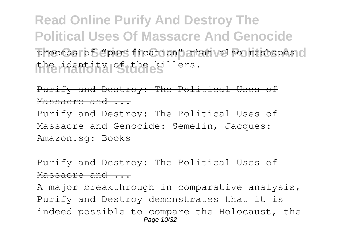**Read Online Purify And Destroy The Political Uses Of Massacre And Genocide** process of "purification" that also reshapes o the identity of the killers.

Purify and Destroy: The Political Uses of Massacre and ...

Purify and Destroy: The Political Uses of Massacre and Genocide: Semelin, Jacques: Amazon.sg: Books

#### Purify and Destroy: The Political Uses of Massacre and ...

A major breakthrough in comparative analysis, Purify and Destroy demonstrates that it is indeed possible to compare the Holocaust, the Page 10/32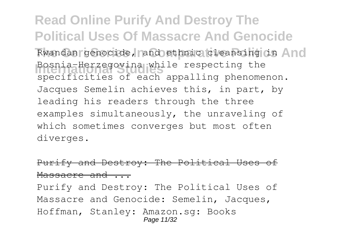**Read Online Purify And Destroy The Political Uses Of Massacre And Genocide** Rwandan genocide, and ethnic cleansing in And Bosnia-Herzegovina while respecting the specificities of each appalling phenomenon. Jacques Semelin achieves this, in part, by leading his readers through the three examples simultaneously, the unraveling of which sometimes converges but most often diverges.

#### Purify and Destroy: The Political Uses Massacre and ...

Purify and Destroy: The Political Uses of Massacre and Genocide: Semelin, Jacques, Hoffman, Stanley: Amazon.sg: Books Page 11/32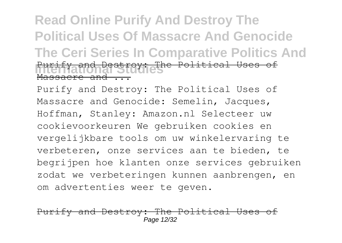### **Read Online Purify And Destroy The Political Uses Of Massacre And Genocide The Ceri Series In Comparative Politics And** Purify and Destroy: The Political Uses of Massacre and ...

Purify and Destroy: The Political Uses of Massacre and Genocide: Semelin, Jacques, Hoffman, Stanley: Amazon.nl Selecteer uw cookievoorkeuren We gebruiken cookies en vergelijkbare tools om uw winkelervaring te verbeteren, onze services aan te bieden, te begrijpen hoe klanten onze services gebruiken zodat we verbeteringen kunnen aanbrengen, en om advertenties weer te geven.

#### y and Destroy: The Political Page 12/32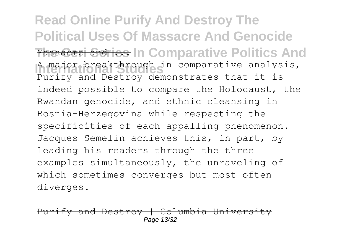**Read Online Purify And Destroy The Political Uses Of Massacre And Genocide Massacre and ics In Comparative Politics And** A major breakthrough in comparative analysis, Purify and Destroy demonstrates that it is indeed possible to compare the Holocaust, the Rwandan genocide, and ethnic cleansing in Bosnia-Herzegovina while respecting the specificities of each appalling phenomenon. Jacques Semelin achieves this, in part, by leading his readers through the three examples simultaneously, the unraveling of which sometimes converges but most often diverges.

 $v$  and Destroy | Columbia Unive $v$ Page 13/32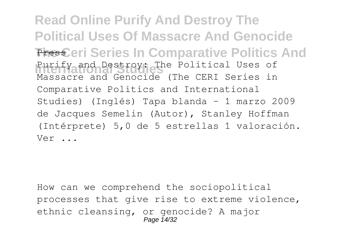**Read Online Purify And Destroy The Political Uses Of Massacre And Genocide Press.eri Series In Comparative Politics And** Purify and Destroy: The Political Uses of Massacre and Genocide (The CERI Series in Comparative Politics and International Studies) (Inglés) Tapa blanda – 1 marzo 2009 de Jacques Semelin (Autor), Stanley Hoffman (Intérprete) 5,0 de 5 estrellas 1 valoración. Ver ...

How can we comprehend the sociopolitical processes that give rise to extreme violence, ethnic cleansing, or genocide? A major Page 14/32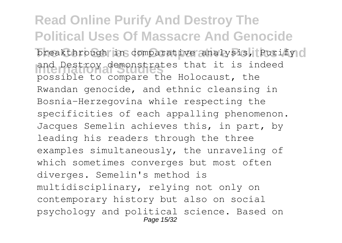**Read Online Purify And Destroy The Political Uses Of Massacre And Genocide** breakthrough in comparative analysis, Purify o and Destroy demonstrates that it is indeed possible to compare the Holocaust, the Rwandan genocide, and ethnic cleansing in Bosnia-Herzegovina while respecting the specificities of each appalling phenomenon. Jacques Semelin achieves this, in part, by leading his readers through the three examples simultaneously, the unraveling of which sometimes converges but most often diverges. Semelin's method is multidisciplinary, relying not only on contemporary history but also on social psychology and political science. Based on Page 15/32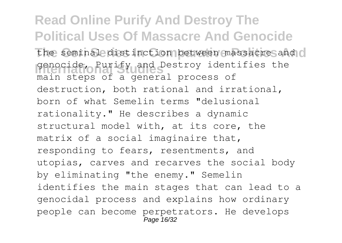**Read Online Purify And Destroy The Political Uses Of Massacre And Genocide** the seminal distinction between massacre and o genocide, Purify and Destroy identifies the main steps of a general process of destruction, both rational and irrational, born of what Semelin terms "delusional rationality." He describes a dynamic structural model with, at its core, the matrix of a social imaginaire that, responding to fears, resentments, and utopias, carves and recarves the social body by eliminating "the enemy." Semelin identifies the main stages that can lead to a genocidal process and explains how ordinary people can become perpetrators. He develops Page 16/32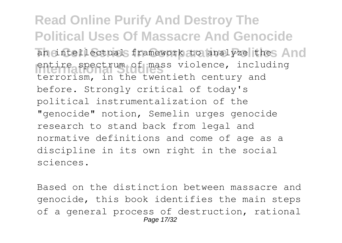**Read Online Purify And Destroy The Political Uses Of Massacre And Genocide** an intellectual framework to analyze thes And entire spectrum of mass violence, includenties<br>terrorism, in the twentieth century and entire spectrum of mass violence, including before. Strongly critical of today's political instrumentalization of the "genocide" notion, Semelin urges genocide research to stand back from legal and normative definitions and come of age as a discipline in its own right in the social sciences.

Based on the distinction between massacre and genocide, this book identifies the main steps of a general process of destruction, rational Page 17/32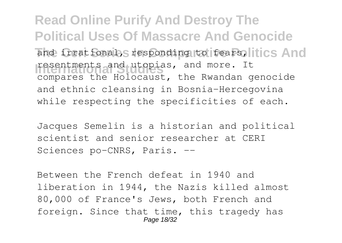**Read Online Purify And Destroy The Political Uses Of Massacre And Genocide** and irrational, responding to fears, litics And **International Studies** resentments and utopias, and more. It compares the Holocaust, the Rwandan genocide and ethnic cleansing in Bosnia-Hercegovina while respecting the specificities of each.

Jacques Semelin is a historian and political scientist and senior researcher at CERI Sciences po-CNRS, Paris. --

Between the French defeat in 1940 and liberation in 1944, the Nazis killed almost 80,000 of France's Jews, both French and foreign. Since that time, this tragedy has Page 18/32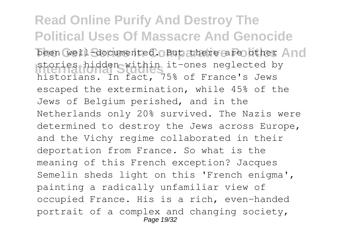**Read Online Purify And Destroy The Political Uses Of Massacre And Genocide** been well-documented. But there are other And **International Studies** historians. In fact, 75% of France's Jews stories hidden within it-ones neglected by escaped the extermination, while 45% of the Jews of Belgium perished, and in the Netherlands only 20% survived. The Nazis were determined to destroy the Jews across Europe, and the Vichy regime collaborated in their deportation from France. So what is the meaning of this French exception? Jacques Semelin sheds light on this 'French enigma', painting a radically unfamiliar view of occupied France. His is a rich, even-handed portrait of a complex and changing society, Page 19/32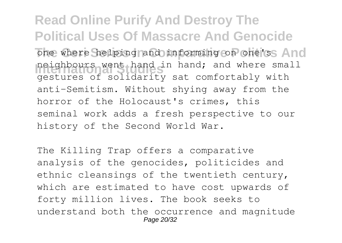**Read Online Purify And Destroy The Political Uses Of Massacre And Genocide** one where helping and informing on one's And neighbours went hand in hand; and where small gestures of solidarity sat comfortably with anti-Semitism. Without shying away from the horror of the Holocaust's crimes, this seminal work adds a fresh perspective to our history of the Second World War.

The Killing Trap offers a comparative analysis of the genocides, politicides and ethnic cleansings of the twentieth century, which are estimated to have cost upwards of forty million lives. The book seeks to understand both the occurrence and magnitude Page 20/32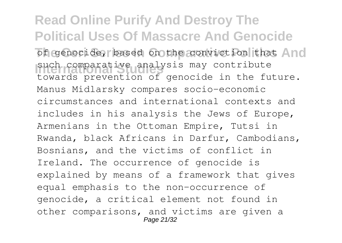**Read Online Purify And Destroy The Political Uses Of Massacre And Genocide** of genocide, based on the conviction that And such comparative analysis may contribute<br>towards prevention of genocide in the future. such comparative analysis may contribute Manus Midlarsky compares socio-economic circumstances and international contexts and includes in his analysis the Jews of Europe, Armenians in the Ottoman Empire, Tutsi in Rwanda, black Africans in Darfur, Cambodians, Bosnians, and the victims of conflict in Ireland. The occurrence of genocide is explained by means of a framework that gives equal emphasis to the non-occurrence of genocide, a critical element not found in other comparisons, and victims are given a Page 21/32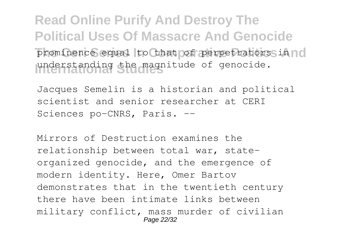**Read Online Purify And Destroy The Political Uses Of Massacre And Genocide** prominence equal to that of perpetratorss in no understanding the magnitude of genocide.

Jacques Semelin is a historian and political scientist and senior researcher at CERI Sciences po-CNRS, Paris. --

Mirrors of Destruction examines the relationship between total war, stateorganized genocide, and the emergence of modern identity. Here, Omer Bartov demonstrates that in the twentieth century there have been intimate links between military conflict, mass murder of civilian Page 22/32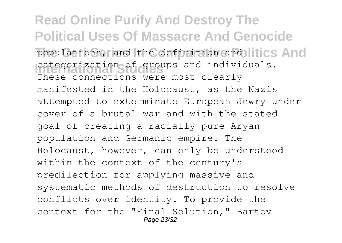**Read Online Purify And Destroy The Political Uses Of Massacre And Genocide** populations, and the definition and litics And categorization of groups and individuals. These connections were most clearly manifested in the Holocaust, as the Nazis attempted to exterminate European Jewry under cover of a brutal war and with the stated goal of creating a racially pure Aryan population and Germanic empire. The Holocaust, however, can only be understood within the context of the century's predilection for applying massive and systematic methods of destruction to resolve conflicts over identity. To provide the context for the "Final Solution," Bartov Page 23/32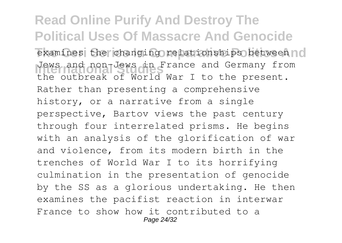**Read Online Purify And Destroy The Political Uses Of Massacre And Genocide** examines the changing relationships between no Jews and non-Jews in France and Germany from the outbreak of World War I to the present. Rather than presenting a comprehensive history, or a narrative from a single perspective, Bartov views the past century through four interrelated prisms. He begins with an analysis of the glorification of war and violence, from its modern birth in the trenches of World War I to its horrifying culmination in the presentation of genocide by the SS as a glorious undertaking. He then examines the pacifist reaction in interwar France to show how it contributed to a Page 24/32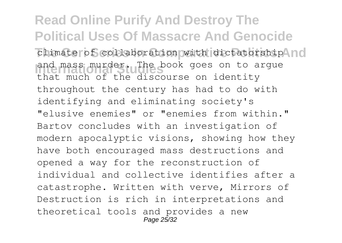**Read Online Purify And Destroy The Political Uses Of Massacre And Genocide** climate of collaboration with dictatorship Ind and mass murder. The book goes on to argue that much of the discourse on identity throughout the century has had to do with identifying and eliminating society's "elusive enemies" or "enemies from within." Bartov concludes with an investigation of modern apocalyptic visions, showing how they have both encouraged mass destructions and opened a way for the reconstruction of individual and collective identifies after a catastrophe. Written with verve, Mirrors of Destruction is rich in interpretations and theoretical tools and provides a new Page 25/32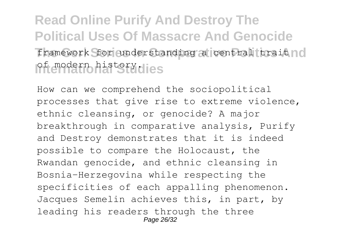# **Read Online Purify And Destroy The Political Uses Of Massacre And Genocide** framework for understanding a central trait no of modern history.

How can we comprehend the sociopolitical processes that give rise to extreme violence, ethnic cleansing, or genocide? A major breakthrough in comparative analysis, Purify and Destroy demonstrates that it is indeed possible to compare the Holocaust, the Rwandan genocide, and ethnic cleansing in Bosnia-Herzegovina while respecting the specificities of each appalling phenomenon. Jacques Semelin achieves this, in part, by leading his readers through the three Page 26/32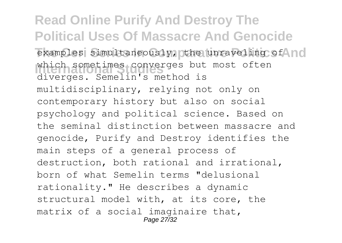**Read Online Purify And Destroy The Political Uses Of Massacre And Genocide** examples simultaneously, the unraveling of **and International Studies** diverges. Semelin's method is which sometimes converges but most often multidisciplinary, relying not only on contemporary history but also on social psychology and political science. Based on the seminal distinction between massacre and genocide, Purify and Destroy identifies the main steps of a general process of destruction, both rational and irrational, born of what Semelin terms "delusional rationality." He describes a dynamic structural model with, at its core, the matrix of a social imaginaire that, Page 27/32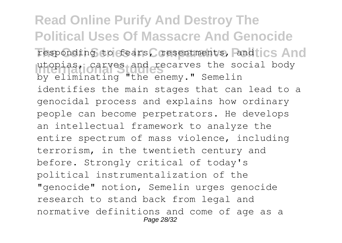**Read Online Purify And Destroy The Political Uses Of Massacre And Genocide** responding to fears, resentments, and ics And utopias, carves and recarves the social body by eliminating "the enemy." Semelin identifies the main stages that can lead to a genocidal process and explains how ordinary people can become perpetrators. He develops an intellectual framework to analyze the entire spectrum of mass violence, including terrorism, in the twentieth century and before. Strongly critical of today's political instrumentalization of the "genocide" notion, Semelin urges genocide research to stand back from legal and normative definitions and come of age as a Page 28/32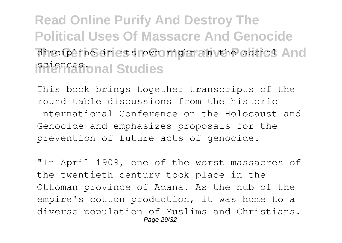# **Read Online Purify And Destroy The Political Uses Of Massacre And Genocide** discipline in its rown right in the social And sciences.**ional Studies**

This book brings together transcripts of the round table discussions from the historic International Conference on the Holocaust and Genocide and emphasizes proposals for the prevention of future acts of genocide.

"In April 1909, one of the worst massacres of the twentieth century took place in the Ottoman province of Adana. As the hub of the empire's cotton production, it was home to a diverse population of Muslims and Christians. Page 29/32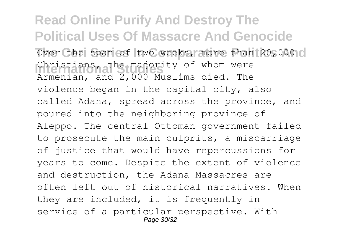**Read Online Purify And Destroy The Political Uses Of Massacre And Genocide** Over the span of two weeks, more than 20,000 o Christians, the majority of whom were Armenian, and 2,000 Muslims died. The violence began in the capital city, also called Adana, spread across the province, and poured into the neighboring province of Aleppo. The central Ottoman government failed to prosecute the main culprits, a miscarriage of justice that would have repercussions for years to come. Despite the extent of violence and destruction, the Adana Massacres are often left out of historical narratives. When they are included, it is frequently in service of a particular perspective. With Page 30/32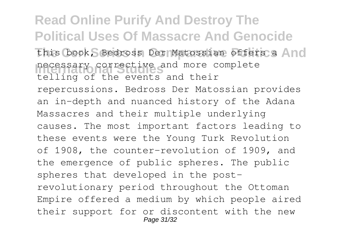**Read Online Purify And Destroy The Political Uses Of Massacre And Genocide This book, Bedross Der Matossian offers a And International Studies** necessary corrective and more complete telling of the events and their repercussions. Bedross Der Matossian provides an in-depth and nuanced history of the Adana Massacres and their multiple underlying causes. The most important factors leading to these events were the Young Turk Revolution of 1908, the counter-revolution of 1909, and the emergence of public spheres. The public spheres that developed in the postrevolutionary period throughout the Ottoman Empire offered a medium by which people aired their support for or discontent with the new Page 31/32